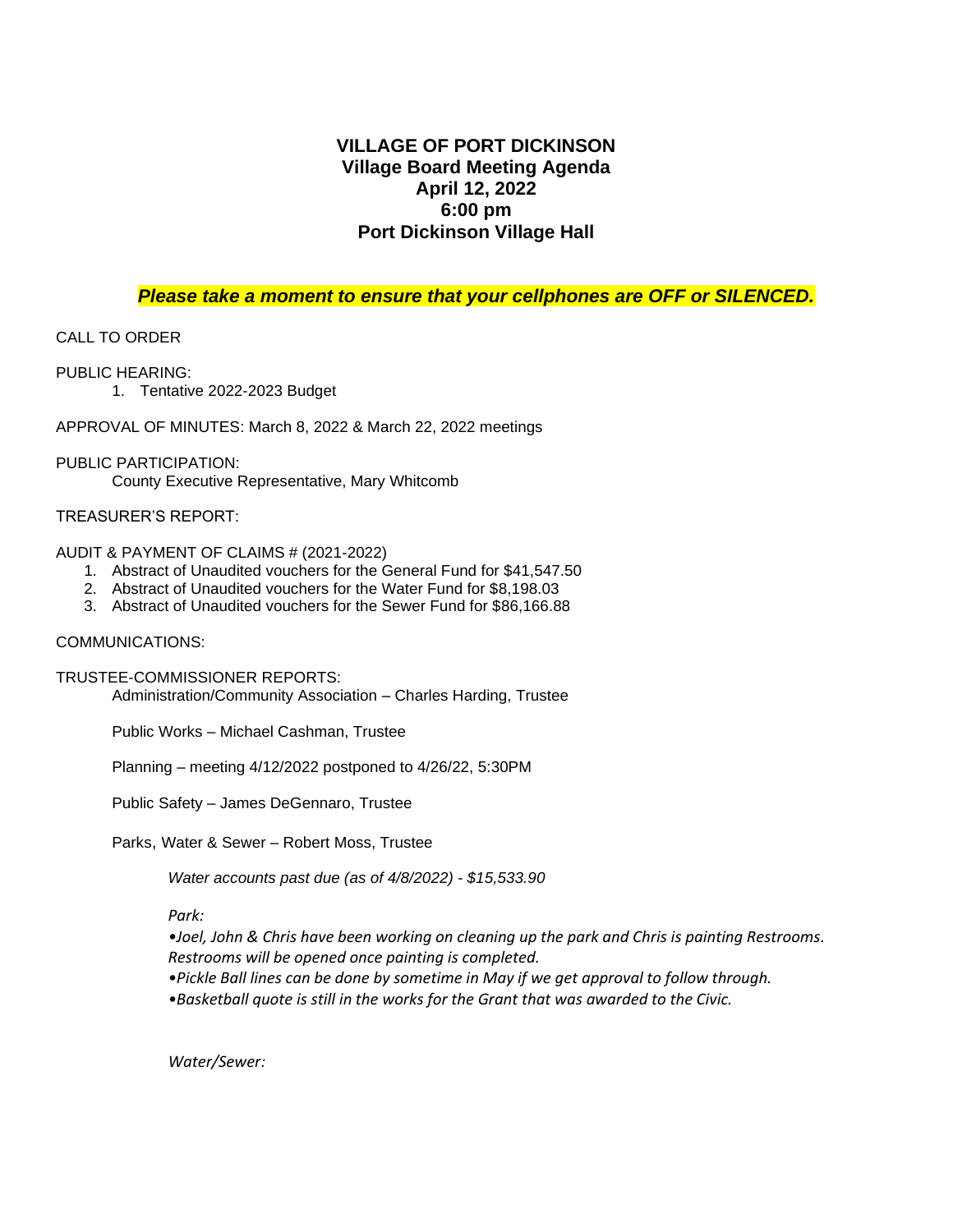## **VILLAGE OF PORT DICKINSON Village Board Meeting Agenda April 12, 2022 6:00 pm Port Dickinson Village Hall**

### *Please take a moment to ensure that your cellphones are OFF or SILENCED.*

## CALL TO ORDER

PUBLIC HEARING:

1. Tentative 2022-2023 Budget

APPROVAL OF MINUTES: March 8, 2022 & March 22, 2022 meetings

#### PUBLIC PARTICIPATION:

County Executive Representative, Mary Whitcomb

## TREASURER'S REPORT:

#### AUDIT & PAYMENT OF CLAIMS # (2021-2022)

- 1. Abstract of Unaudited vouchers for the General Fund for \$41,547.50
- 2. Abstract of Unaudited vouchers for the Water Fund for \$8,198.03
- 3. Abstract of Unaudited vouchers for the Sewer Fund for \$86,166.88

#### COMMUNICATIONS:

TRUSTEE-COMMISSIONER REPORTS:

Administration/Community Association – Charles Harding, Trustee

Public Works – Michael Cashman, Trustee

Planning – meeting 4/12/2022 postponed to 4/26/22, 5:30PM

Public Safety – James DeGennaro, Trustee

Parks, Water & Sewer – Robert Moss, Trustee

*Water accounts past due (as of 4/8/2022) - \$15,533.90*

*Park:*

*•Joel, John & Chris have been working on cleaning up the park and Chris is painting Restrooms. Restrooms will be opened once painting is completed.*

- *•Pickle Ball lines can be done by sometime in May if we get approval to follow through.*
- *•Basketball quote is still in the works for the Grant that was awarded to the Civic.*

*Water/Sewer:*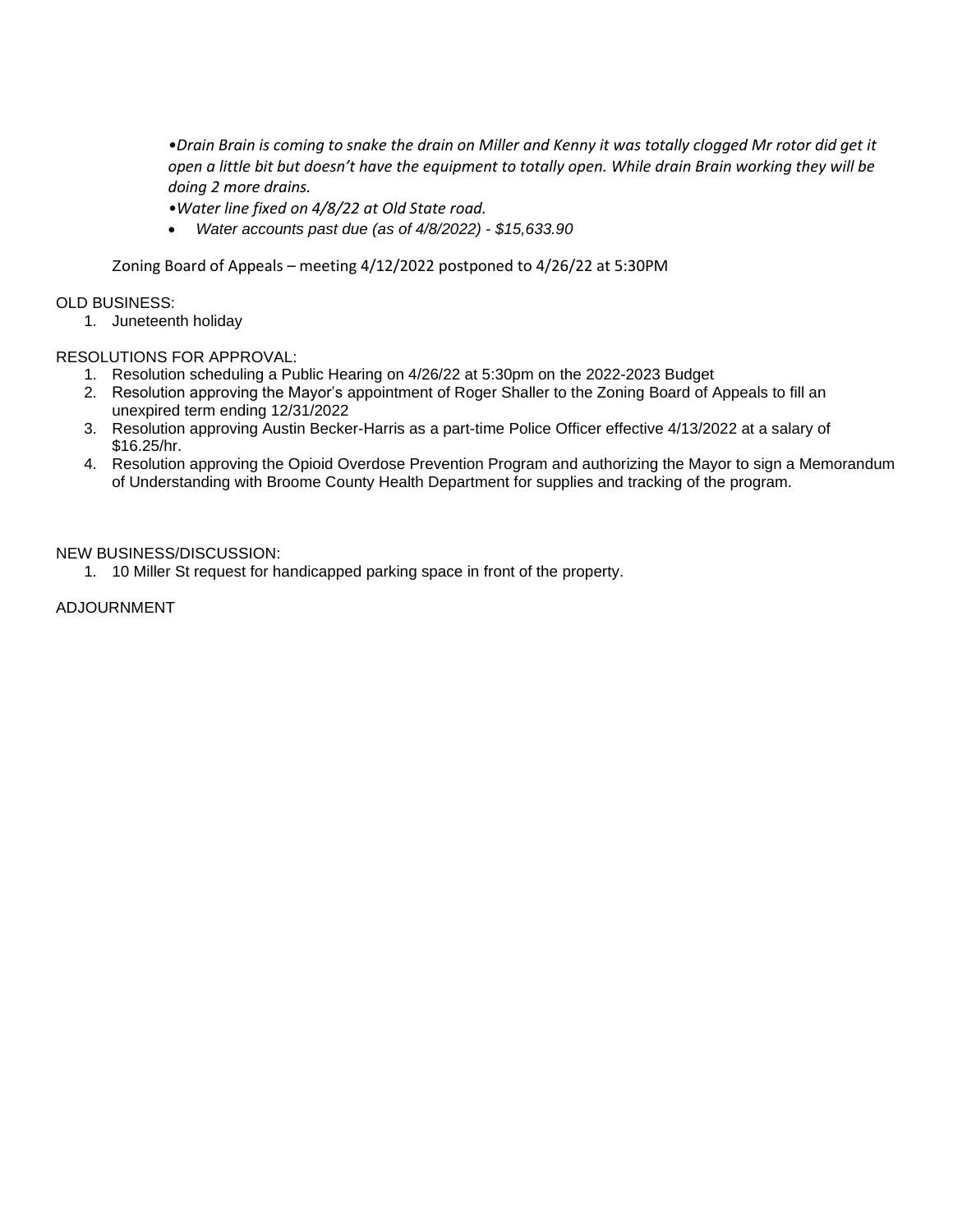*•Drain Brain is coming to snake the drain on Miller and Kenny it was totally clogged Mr rotor did get it open a little bit but doesn't have the equipment to totally open. While drain Brain working they will be doing 2 more drains.* 

- *•Water line fixed on 4/8/22 at Old State road.*
- *Water accounts past due (as of 4/8/2022) - \$15,633.90*

Zoning Board of Appeals – meeting 4/12/2022 postponed to 4/26/22 at 5:30PM

#### OLD BUSINESS:

1. Juneteenth holiday

#### RESOLUTIONS FOR APPROVAL:

- 1. Resolution scheduling a Public Hearing on 4/26/22 at 5:30pm on the 2022-2023 Budget
- 2. Resolution approving the Mayor's appointment of Roger Shaller to the Zoning Board of Appeals to fill an unexpired term ending 12/31/2022
- 3. Resolution approving Austin Becker-Harris as a part-time Police Officer effective 4/13/2022 at a salary of \$16.25/hr.
- 4. Resolution approving the Opioid Overdose Prevention Program and authorizing the Mayor to sign a Memorandum of Understanding with Broome County Health Department for supplies and tracking of the program.

#### NEW BUSINESS/DISCUSSION:

1. 10 Miller St request for handicapped parking space in front of the property.

ADJOURNMENT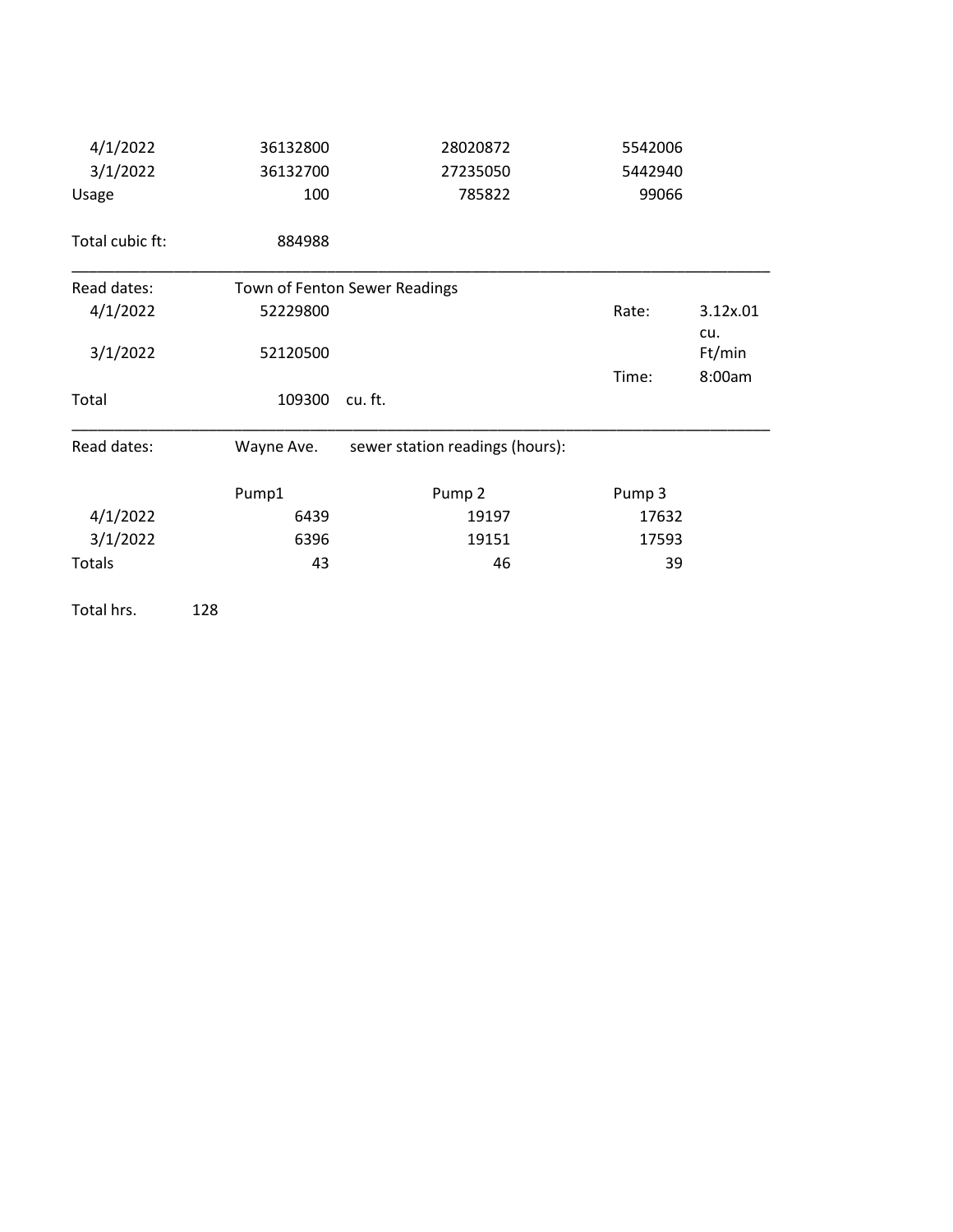| 4/1/2022        | 36132800   | 28020872                        | 5542006           |                 |  |
|-----------------|------------|---------------------------------|-------------------|-----------------|--|
| 3/1/2022        | 36132700   | 27235050                        | 5442940           |                 |  |
| Usage           | 100        | 785822                          | 99066             |                 |  |
| Total cubic ft: | 884988     |                                 |                   |                 |  |
| Read dates:     |            | Town of Fenton Sewer Readings   |                   |                 |  |
| 4/1/2022        | 52229800   |                                 | Rate:             | 3.12x.01<br>cu. |  |
| 3/1/2022        | 52120500   |                                 |                   | Ft/min          |  |
|                 |            |                                 | Time:             | 8:00am          |  |
| Total           | 109300     | cu. ft.                         |                   |                 |  |
| Read dates:     | Wayne Ave. | sewer station readings (hours): |                   |                 |  |
|                 | Pump1      | Pump <sub>2</sub>               | Pump <sub>3</sub> |                 |  |
| 4/1/2022        | 6439       | 17632<br>19197                  |                   |                 |  |
| 3/1/2022        | 6396       | 19151                           | 17593             |                 |  |
| <b>Totals</b>   | 43         | 46                              | 39                |                 |  |

Total hrs. 128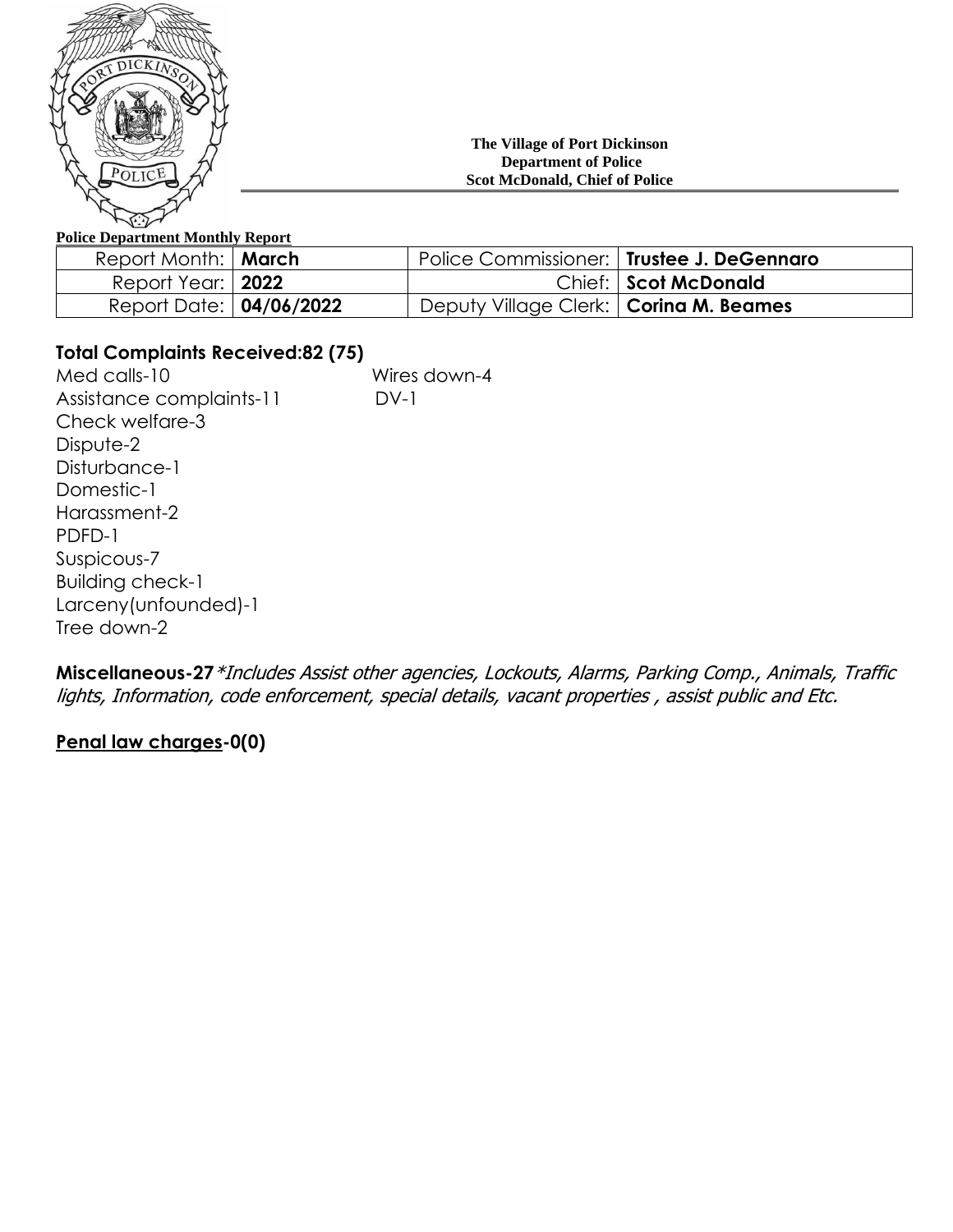

#### **The Village of Port Dickinson Department of Police Scot McDonald, Chief of Police**

## **Police Department Monthly Report**

| Report Month:   March          | Police Commissioner:   Trustee J. DeGennaro |                      |
|--------------------------------|---------------------------------------------|----------------------|
| Report Year:   <b>2022</b>     |                                             | Chief: Scot McDonald |
| Report Date: <b>04/06/2022</b> | Deputy Village Clerk:   Corina M. Beames    |                      |

# **Total Complaints Received:82 (75)**

Med calls-10 Wires down-4 Assistance complaints-11 DV-1 Check welfare-3 Dispute-2 Disturbance-1 Domestic-1 Harassment-2 PDFD-1 Suspicous-7 Building check-1 Larceny(unfounded)-1 Tree down-2

**Miscellaneous-27**\*Includes Assist other agencies, Lockouts, Alarms, Parking Comp., Animals, Traffic lights, Information, code enforcement, special details, vacant properties , assist public and Etc.

# **Penal law charges-0(0)**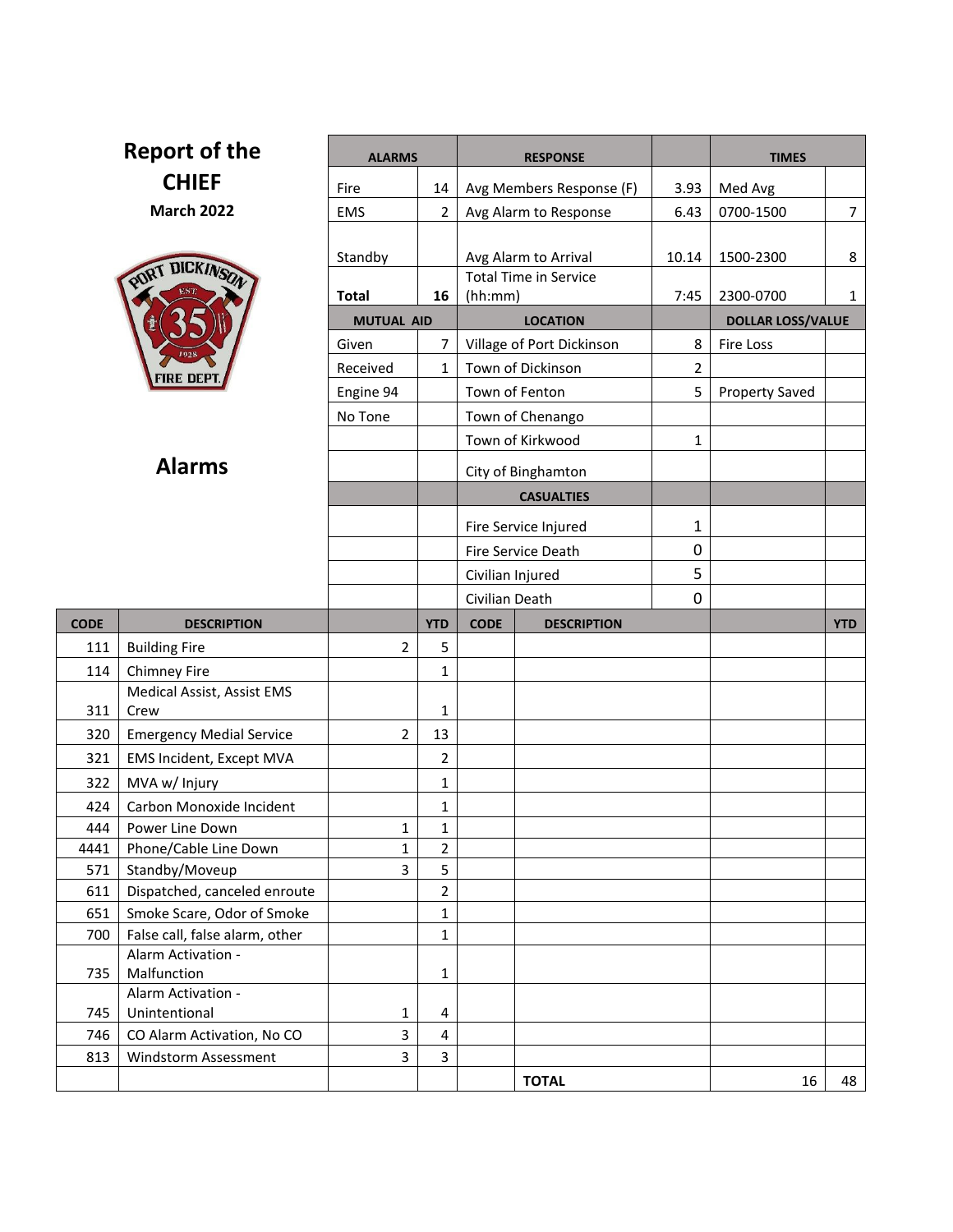| Report of the     |                                   | <b>ALARMS</b>     |                | <b>RESPONSE</b>                         |                | <b>TIMES</b>             |                |
|-------------------|-----------------------------------|-------------------|----------------|-----------------------------------------|----------------|--------------------------|----------------|
| <b>CHIEF</b>      |                                   |                   |                |                                         |                |                          |                |
|                   |                                   | Fire              | 14             | Avg Members Response (F)                | 3.93           | Med Avg                  |                |
| <b>March 2022</b> |                                   | <b>EMS</b>        | $\overline{2}$ | Avg Alarm to Response                   | 6.43           | 0700-1500                | $\overline{7}$ |
|                   |                                   |                   |                |                                         |                |                          |                |
| DICKINSON<br>PORT |                                   | Standby           |                | Avg Alarm to Arrival                    | 10.14          | 1500-2300                | 8              |
|                   |                                   | <b>Total</b>      | 16             | <b>Total Time in Service</b><br>(hh:mm) | 7:45           | 2300-0700                | $\mathbf{1}$   |
|                   |                                   |                   |                |                                         |                |                          |                |
|                   |                                   | <b>MUTUAL AID</b> |                | <b>LOCATION</b>                         |                | <b>DOLLAR LOSS/VALUE</b> |                |
|                   |                                   | Given             | 7              | Village of Port Dickinson               | 8              | <b>Fire Loss</b>         |                |
|                   | TRE DEP                           | Received          | $\mathbf{1}$   | Town of Dickinson                       | $\overline{2}$ |                          |                |
|                   |                                   | Engine 94         |                | Town of Fenton                          | 5              | <b>Property Saved</b>    |                |
|                   |                                   | No Tone           |                | Town of Chenango                        |                |                          |                |
|                   |                                   |                   |                | Town of Kirkwood                        | $\mathbf{1}$   |                          |                |
| <b>Alarms</b>     |                                   |                   |                | City of Binghamton                      |                |                          |                |
|                   |                                   |                   |                | <b>CASUALTIES</b>                       |                |                          |                |
|                   |                                   |                   |                |                                         | 1              |                          |                |
|                   |                                   |                   |                | Fire Service Injured                    |                |                          |                |
|                   |                                   |                   |                | Fire Service Death                      | 0              |                          |                |
|                   |                                   |                   |                | Civilian Injured                        | 5              |                          |                |
|                   |                                   |                   |                | Civilian Death                          | 0              |                          |                |
|                   |                                   |                   |                |                                         |                |                          |                |
| <b>CODE</b>       | <b>DESCRIPTION</b>                |                   | <b>YTD</b>     | <b>CODE</b><br><b>DESCRIPTION</b>       |                |                          | <b>YTD</b>     |
| 111               | <b>Building Fire</b>              | $\overline{2}$    | 5              |                                         |                |                          |                |
| 114               | Chimney Fire                      |                   | 1              |                                         |                |                          |                |
|                   | Medical Assist, Assist EMS        |                   |                |                                         |                |                          |                |
| 311               | Crew                              |                   | 1              |                                         |                |                          |                |
| 320               | <b>Emergency Medial Service</b>   | 2                 | 13             |                                         |                |                          |                |
| 321               | EMS Incident, Except MVA          |                   | $\overline{2}$ |                                         |                |                          |                |
| 322               | MVA w/ Injury                     |                   | $\mathbf 1$    |                                         |                |                          |                |
| 424               | Carbon Monoxide Incident          |                   | 1              |                                         |                |                          |                |
| 444               | Power Line Down                   | 1                 | 1              |                                         |                |                          |                |
| 4441              | Phone/Cable Line Down             | $\mathbf{1}$      | $\overline{2}$ |                                         |                |                          |                |
| 571               | Standby/Moveup                    | $\overline{3}$    | 5              |                                         |                |                          |                |
| 611               | Dispatched, canceled enroute      |                   | $\overline{2}$ |                                         |                |                          |                |
| 651               | Smoke Scare, Odor of Smoke        |                   | $\mathbf{1}$   |                                         |                |                          |                |
| 700               | False call, false alarm, other    |                   | $\mathbf{1}$   |                                         |                |                          |                |
| 735               | Alarm Activation -<br>Malfunction |                   | 1              |                                         |                |                          |                |
|                   | Alarm Activation -                |                   |                |                                         |                |                          |                |
| 745               | Unintentional                     | 1                 | 4              |                                         |                |                          |                |
| 746               | CO Alarm Activation, No CO        | 3                 | 4              |                                         |                |                          |                |
| 813               | Windstorm Assessment              | $\overline{3}$    | $\overline{3}$ |                                         |                |                          |                |